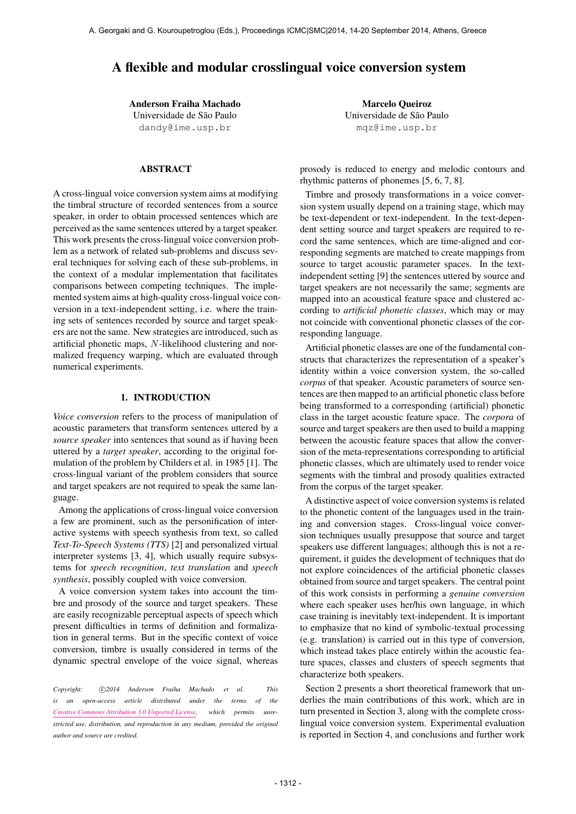# A flexible and modular crosslingual voice conversion system

Anderson Fraiha Machado Universidade de São Paulo [dandy@ime.usp.br](mailto:dandy@ime.usp.br)

# ABSTRACT

A cross-lingual voice conversion system aims at modifying the timbral structure of recorded sentences from a source speaker, in order to obtain processed sentences which are perceived as the same sentences uttered by a target speaker. This work presents the cross-lingual voice conversion problem as a network of related sub-problems and discuss several techniques for solving each of these sub-problems, in the context of a modular implementation that facilitates comparisons between competing techniques. The implemented system aims at high-quality cross-lingual voice conversion in a text-independent setting, i.e. where the training sets of sentences recorded by source and target speakers are not the same. New strategies are introduced, such as artificial phonetic maps, N-likelihood clustering and normalized frequency warping, which are evaluated through numerical experiments.

# 1. INTRODUCTION

*Voice conversion* refers to the process of manipulation of acoustic parameters that transform sentences uttered by a *source speaker* into sentences that sound as if having been uttered by a *target speaker*, according to the original formulation of the problem by Childers et al. in 1985 [1]. The cross-lingual variant of the problem considers that source and target speakers are not required to speak the same language.

Among the applications of cross-lingual voice conversion a few are prominent, such as the personification of interactive systems with speech synthesis from text, so called *Text-To-Speech Systems (TTS)* [2] and personalized virtual interpreter systems [3, 4], which usually require subsystems for *speech recognition*, *text translation* and *speech synthesis*, possibly coupled with voice conversion.

A voice conversion system takes into account the timbre and prosody of the source and target speakers. These are easily recognizable perceptual aspects of speech which present difficulties in terms of definition and formalization in general terms. But in the specific context of voice conversion, timbre is usually considered in terms of the dynamic spectral envelope of the voice signal, whereas

Copyright:  $\bigcirc$ 2014 Anderson Fraiha Machado et al. This *is an open-access article distributed under the terms of the [Creative Commons Attribution 3.0 Unported License,](http://creativecommons.org/licenses/by/3.0/) which permits unrestricted use, distribution, and reproduction in any medium, provided the original author and source are credited.*

Marcelo Queiroz Universidade de São Paulo [mqz@ime.usp.br](mailto:mqz@ime.usp.br)

prosody is reduced to energy and melodic contours and rhythmic patterns of phonemes [5, 6, 7, 8].

Timbre and prosody transformations in a voice conversion system usually depend on a training stage, which may be text-dependent or text-independent. In the text-dependent setting source and target speakers are required to record the same sentences, which are time-aligned and corresponding segments are matched to create mappings from source to target acoustic parameter spaces. In the textindependent setting [9] the sentences uttered by source and target speakers are not necessarily the same; segments are mapped into an acoustical feature space and clustered according to *artificial phonetic classes*, which may or may not coincide with conventional phonetic classes of the corresponding language.

Artificial phonetic classes are one of the fundamental constructs that characterizes the representation of a speaker's identity within a voice conversion system, the so-called *corpus* of that speaker. Acoustic parameters of source sentences are then mapped to an artificial phonetic class before being transformed to a corresponding (artificial) phonetic class in the target acoustic feature space. The *corpora* of source and target speakers are then used to build a mapping between the acoustic feature spaces that allow the conversion of the meta-representations corresponding to artificial phonetic classes, which are ultimately used to render voice segments with the timbral and prosody qualities extracted from the corpus of the target speaker.

A distinctive aspect of voice conversion systems is related to the phonetic content of the languages used in the training and conversion stages. Cross-lingual voice conversion techniques usually presuppose that source and target speakers use different languages; although this is not a requirement, it guides the development of techniques that do not explore coincidences of the artificial phonetic classes obtained from source and target speakers. The central point of this work consists in performing a *genuine conversion* where each speaker uses her/his own language, in which case training is inevitably text-independent. It is important to emphasize that no kind of symbolic-textual processing (e.g. translation) is carried out in this type of conversion, which instead takes place entirely within the acoustic feature spaces, classes and clusters of speech segments that characterize both speakers.

Section 2 presents a short theoretical framework that underlies the main contributions of this work, which are in turn presented in Section 3, along with the complete crosslingual voice conversion system. Experimental evaluation is reported in Section 4, and conclusions and further work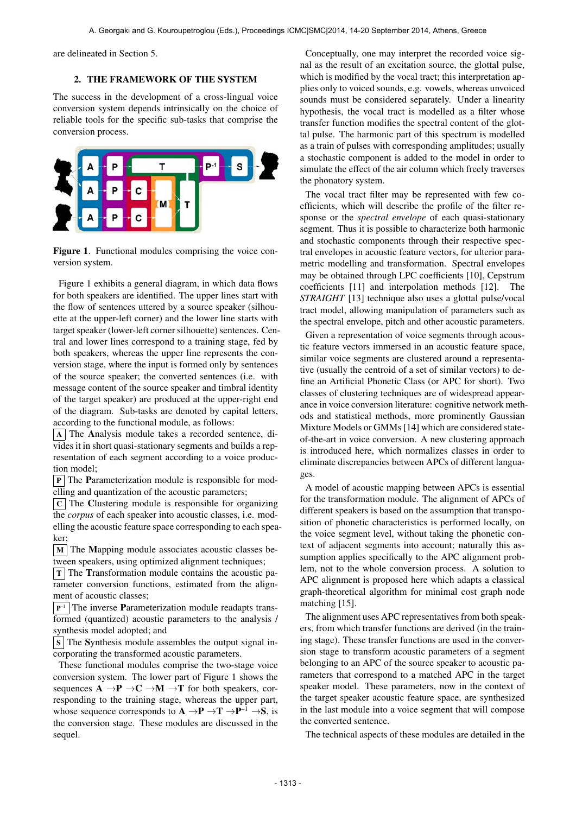are delineated in Section 5.

### 2. THE FRAMEWORK OF THE SYSTEM

The success in the development of a cross-lingual voice conversion system depends intrinsically on the choice of reliable tools for the specific sub-tasks that comprise the conversion process.



Figure 1. Functional modules comprising the voice conversion system.

Figure 1 exhibits a general diagram, in which data flows for both speakers are identified. The upper lines start with the flow of sentences uttered by a source speaker (silhouette at the upper-left corner) and the lower line starts with target speaker (lower-left corner silhouette) sentences. Central and lower lines correspond to a training stage, fed by both speakers, whereas the upper line represents the conversion stage, where the input is formed only by sentences of the source speaker; the converted sentences (i.e. with message content of the source speaker and timbral identity of the target speaker) are produced at the upper-right end of the diagram. Sub-tasks are denoted by capital letters, according to the functional module, as follows:

A The Analysis module takes a recorded sentence, divides it in short quasi-stationary segments and builds a representation of each segment according to a voice production model;

 $\boxed{P}$  The Parameterization module is responsible for modelling and quantization of the acoustic parameters;

 $|c|$  The Clustering module is responsible for organizing the *corpus* of each speaker into acoustic classes, i.e. modelling the acoustic feature space corresponding to each speaker;

 $\vert$  M  $\vert$  The Mapping module associates acoustic classes between speakers, using optimized alignment techniques;

 $T$  The Transformation module contains the acoustic parameter conversion functions, estimated from the alignment of acoustic classes;

 $P^{-1}$  The inverse **P**arameterization module readapts transformed (quantized) acoustic parameters to the analysis / synthesis model adopted; and

 $\boxed{\text{s}}$  The Synthesis module assembles the output signal incorporating the transformed acoustic parameters.

These functional modules comprise the two-stage voice conversion system. The lower part of Figure 1 shows the sequences  $A \rightarrow P \rightarrow C \rightarrow M \rightarrow T$  for both speakers, corresponding to the training stage, whereas the upper part, whose sequence corresponds to  $A \rightarrow P \rightarrow T \rightarrow P^{-1} \rightarrow S$ , is the conversion stage. These modules are discussed in the sequel.

Conceptually, one may interpret the recorded voice signal as the result of an excitation source, the glottal pulse, which is modified by the vocal tract; this interpretation applies only to voiced sounds, e.g. vowels, whereas unvoiced sounds must be considered separately. Under a linearity hypothesis, the vocal tract is modelled as a filter whose transfer function modifies the spectral content of the glottal pulse. The harmonic part of this spectrum is modelled as a train of pulses with corresponding amplitudes; usually a stochastic component is added to the model in order to simulate the effect of the air column which freely traverses the phonatory system.

The vocal tract filter may be represented with few coefficients, which will describe the profile of the filter response or the *spectral envelope* of each quasi-stationary segment. Thus it is possible to characterize both harmonic and stochastic components through their respective spectral envelopes in acoustic feature vectors, for ulterior parametric modelling and transformation. Spectral envelopes may be obtained through LPC coefficients [10], Cepstrum coefficients [11] and interpolation methods [12]. The *STRAIGHT* [13] technique also uses a glottal pulse/vocal tract model, allowing manipulation of parameters such as the spectral envelope, pitch and other acoustic parameters.

Given a representation of voice segments through acoustic feature vectors immersed in an acoustic feature space, similar voice segments are clustered around a representative (usually the centroid of a set of similar vectors) to define an Artificial Phonetic Class (or APC for short). Two classes of clustering techniques are of widespread appearance in voice conversion literature: cognitive network methods and statistical methods, more prominently Gaussian Mixture Models or GMMs [14] which are considered stateof-the-art in voice conversion. A new clustering approach is introduced here, which normalizes classes in order to eliminate discrepancies between APCs of different languages.

A model of acoustic mapping between APCs is essential for the transformation module. The alignment of APCs of different speakers is based on the assumption that transposition of phonetic characteristics is performed locally, on the voice segment level, without taking the phonetic context of adjacent segments into account; naturally this assumption applies specifically to the APC alignment problem, not to the whole conversion process. A solution to APC alignment is proposed here which adapts a classical graph-theoretical algorithm for minimal cost graph node matching [15].

The alignment uses APC representatives from both speakers, from which transfer functions are derived (in the training stage). These transfer functions are used in the conversion stage to transform acoustic parameters of a segment belonging to an APC of the source speaker to acoustic parameters that correspond to a matched APC in the target speaker model. These parameters, now in the context of the target speaker acoustic feature space, are synthesized in the last module into a voice segment that will compose the converted sentence.

The technical aspects of these modules are detailed in the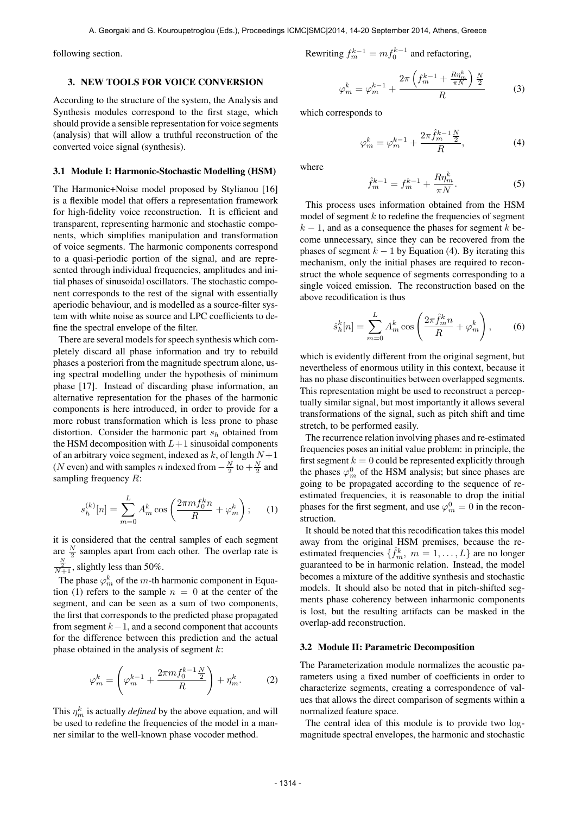following section.

### 3. NEW TOOLS FOR VOICE CONVERSION

According to the structure of the system, the Analysis and Synthesis modules correspond to the first stage, which should provide a sensible representation for voice segments (analysis) that will allow a truthful reconstruction of the converted voice signal (synthesis).

#### 3.1 Module I: Harmonic-Stochastic Modelling (HSM)

The Harmonic+Noise model proposed by Stylianou [16] is a flexible model that offers a representation framework for high-fidelity voice reconstruction. It is efficient and transparent, representing harmonic and stochastic components, which simplifies manipulation and transformation of voice segments. The harmonic components correspond to a quasi-periodic portion of the signal, and are represented through individual frequencies, amplitudes and initial phases of sinusoidal oscillators. The stochastic component corresponds to the rest of the signal with essentially aperiodic behaviour, and is modelled as a source-filter system with white noise as source and LPC coefficients to define the spectral envelope of the filter.

There are several models for speech synthesis which completely discard all phase information and try to rebuild phases a posteriori from the magnitude spectrum alone, using spectral modelling under the hypothesis of minimum phase [17]. Instead of discarding phase information, an alternative representation for the phases of the harmonic components is here introduced, in order to provide for a more robust transformation which is less prone to phase distortion. Consider the harmonic part  $s_h$  obtained from the HSM decomposition with  $L+1$  sinusoidal components of an arbitrary voice segment, indexed as  $k$ , of length  $N+1$ (N even) and with samples n indexed from  $-\frac{N}{2}$  to  $+\frac{N}{2}$  and sampling frequency  $R$ :

$$
s_h^{(k)}[n] = \sum_{m=0}^{L} A_m^k \cos\left(\frac{2\pi m f_0^k n}{R} + \varphi_m^k\right); \quad (1)
$$

it is considered that the central samples of each segment are  $\frac{N}{2}$  samples apart from each other. The overlap rate is  $\frac{\frac{N}{2}}{N+1}$ , slightly less than 50%.

The phase  $\varphi_m^k$  of the *m*-th harmonic component in Equation (1) refers to the sample  $n = 0$  at the center of the segment, and can be seen as a sum of two components, the first that corresponds to the predicted phase propagated from segment  $k-1$ , and a second component that accounts for the difference between this prediction and the actual phase obtained in the analysis of segment  $k$ :

$$
\varphi_m^k = \left(\varphi_m^{k-1} + \frac{2\pi m f_0^{k-1} \frac{N}{2}}{R}\right) + \eta_m^k. \tag{2}
$$

This  $\eta_m^k$  is actually *defined* by the above equation, and will be used to redefine the frequencies of the model in a manner similar to the well-known phase vocoder method.

Rewriting 
$$
f_m^{k-1} = mf_0^{k-1}
$$
 and refactoring,

$$
\varphi_m^k = \varphi_m^{k-1} + \frac{2\pi \left(f_m^{k-1} + \frac{R\eta_m^k}{\pi N}\right) \frac{N}{2}}{R} \tag{3}
$$

which corresponds to

$$
\varphi_m^k = \varphi_m^{k-1} + \frac{2\pi \hat{f}_m^{k-1} \frac{N}{2}}{R},\tag{4}
$$

where

$$
\hat{f}_m^{k-1} = f_m^{k-1} + \frac{R\eta_m^k}{\pi N}.
$$
\n(5)

This process uses information obtained from the HSM model of segment  $k$  to redefine the frequencies of segment  $k-1$ , and as a consequence the phases for segment k become unnecessary, since they can be recovered from the phases of segment  $k - 1$  by Equation (4). By iterating this mechanism, only the initial phases are required to reconstruct the whole sequence of segments corresponding to a single voiced emission. The reconstruction based on the above recodification is thus

$$
\hat{s}_h^k[n] = \sum_{m=0}^L A_m^k \cos\left(\frac{2\pi \hat{f}_m^k n}{R} + \varphi_m^k\right),\qquad(6)
$$

which is evidently different from the original segment, but nevertheless of enormous utility in this context, because it has no phase discontinuities between overlapped segments. This representation might be used to reconstruct a perceptually similar signal, but most importantly it allows several transformations of the signal, such as pitch shift and time stretch, to be performed easily.

The recurrence relation involving phases and re-estimated frequencies poses an initial value problem: in principle, the first segment  $k = 0$  could be represented explicitly through the phases  $\varphi_m^0$  of the HSM analysis; but since phases are going to be propagated according to the sequence of reestimated frequencies, it is reasonable to drop the initial phases for the first segment, and use  $\varphi_m^0 = 0$  in the reconstruction.

It should be noted that this recodification takes this model away from the original HSM premises, because the reestimated frequencies  $\{\hat{f}_m^k, m = 1, \dots, L\}$  are no longer guaranteed to be in harmonic relation. Instead, the model becomes a mixture of the additive synthesis and stochastic models. It should also be noted that in pitch-shifted segments phase coherency between inharmonic components is lost, but the resulting artifacts can be masked in the overlap-add reconstruction.

#### 3.2 Module II: Parametric Decomposition

The Parameterization module normalizes the acoustic parameters using a fixed number of coefficients in order to characterize segments, creating a correspondence of values that allows the direct comparison of segments within a normalized feature space.

The central idea of this module is to provide two logmagnitude spectral envelopes, the harmonic and stochastic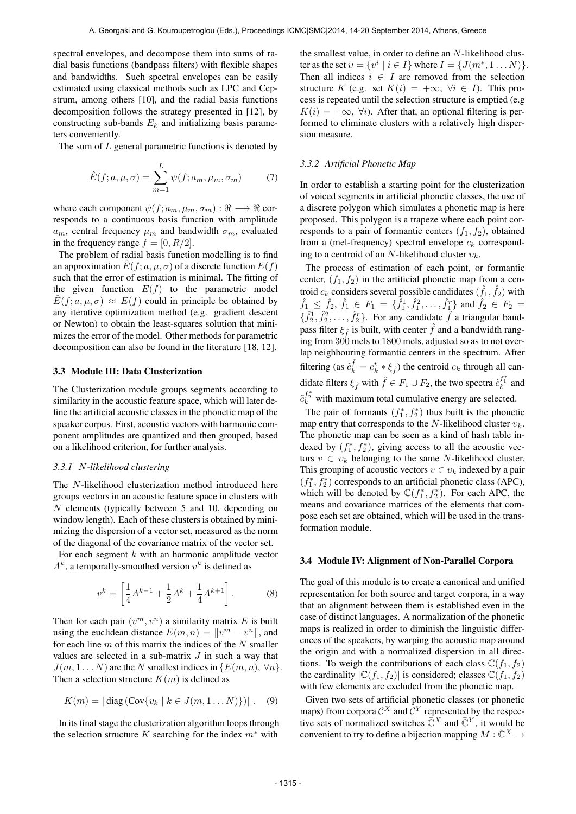spectral envelopes, and decompose them into sums of radial basis functions (bandpass filters) with flexible shapes and bandwidths. Such spectral envelopes can be easily estimated using classical methods such as LPC and Cepstrum, among others [10], and the radial basis functions decomposition follows the strategy presented in [12], by constructing sub-bands  $E_k$  and initializing basis parameters conveniently.

The sum of  $L$  general parametric functions is denoted by

$$
\hat{E}(f;a,\mu,\sigma) = \sum_{m=1}^{L} \psi(f;a_m,\mu_m,\sigma_m)
$$
 (7)

where each component  $\psi(f; a_m, \mu_m, \sigma_m) : \Re \longrightarrow \Re$  corresponds to a continuous basis function with amplitude  $a_m$ , central frequency  $\mu_m$  and bandwidth  $\sigma_m$ , evaluated in the frequency range  $f = [0, R/2]$ .

The problem of radial basis function modelling is to find an approximation  $E(f; a, \mu, \sigma)$  of a discrete function  $E(f)$ such that the error of estimation is minimal. The fitting of the given function  $E(f)$  to the parametric model  $\hat{E}(f; a, \mu, \sigma) \approx E(f)$  could in principle be obtained by any iterative optimization method (e.g. gradient descent or Newton) to obtain the least-squares solution that minimizes the error of the model. Other methods for parametric decomposition can also be found in the literature [18, 12].

#### 3.3 Module III: Data Clusterization

The Clusterization module groups segments according to similarity in the acoustic feature space, which will later define the artificial acoustic classes in the phonetic map of the speaker corpus. First, acoustic vectors with harmonic component amplitudes are quantized and then grouped, based on a likelihood criterion, for further analysis.

#### *3.3.1* N*-likelihood clustering*

The N-likelihood clusterization method introduced here groups vectors in an acoustic feature space in clusters with N elements (typically between 5 and 10, depending on window length). Each of these clusters is obtained by minimizing the dispersion of a vector set, measured as the norm of the diagonal of the covariance matrix of the vector set.

For each segment  $k$  with an harmonic amplitude vector  $A<sup>k</sup>$ , a temporally-smoothed version  $v<sup>k</sup>$  is defined as

$$
v^{k} = \left[\frac{1}{4}A^{k-1} + \frac{1}{2}A^{k} + \frac{1}{4}A^{k+1}\right].
$$
 (8)

Then for each pair  $(v^m, v^n)$  a similarity matrix E is built using the euclidean distance  $E(m, n) = ||v^m - v^n||$ , and for each line  $m$  of this matrix the indices of the  $N$  smaller values are selected in a sub-matrix  $J$  in such a way that  $J(m, 1...N)$  are the N smallest indices in  $\{E(m, n), \forall n\}.$ Then a selection structure  $K(m)$  is defined as

$$
K(m) = ||diag(Cov{v_k | k \in J(m, 1 ... N)})||. (9)
$$

In its final stage the clusterization algorithm loops through the selection structure K searching for the index  $m^*$  with

the smallest value, in order to define an N-likelihood cluster as the set  $v = \{v^i \mid i \in I\}$  where  $I = \{J(m^*, 1...N)\}.$ Then all indices  $i \in I$  are removed from the selection structure K (e.g. set  $K(i) = +\infty$ ,  $\forall i \in I$ ). This process is repeated until the selection structure is emptied (e.g  $K(i) = +\infty$ ,  $\forall i$ ). After that, an optional filtering is performed to eliminate clusters with a relatively high dispersion measure.

#### *3.3.2 Artificial Phonetic Map*

In order to establish a starting point for the clusterization of voiced segments in artificial phonetic classes, the use of a discrete polygon which simulates a phonetic map is here proposed. This polygon is a trapeze where each point corresponds to a pair of formantic centers  $(f_1, f_2)$ , obtained from a (mel-frequency) spectral envelope  $c_k$  corresponding to a centroid of an N-likelihood cluster  $v_k$ .

The process of estimation of each point, or formantic center,  $(f_1, f_2)$  in the artificial phonetic map from a centroid  $c_k$  considers several possible candidates  $(\hat{f}_1, \hat{f}_2)$  with  $\hat{f}_1 \leq \hat{f}_2, \hat{f}_1 \in F_1 = \{\hat{f}_1^1, \hat{f}_1^2, \dots, \hat{f}_1^r\}$  and  $\hat{f}_2 \in F_2 =$  $\{\hat{f}_2^1, \hat{f}_2^2, \dots, \hat{f}_2^r\}$ . For any candidate  $\hat{f}$  a triangular bandpass filter  $\xi_{\hat{f}}$  is built, with center  $\hat{f}$  and a bandwidth ranging from 300 mels to 1800 mels, adjusted so as to not overlap neighbouring formantic centers in the spectrum. After filtering (as  $\tilde{c}_k^{\hat{f}} = c_k^t * \xi_{\hat{f}}$ ) the centroid  $c_k$  through all candidate filters  $\xi_{\hat{f}}$  with  $\hat{f} \in F_1 \cup F_2$ , the two spectra  $\tilde{c}_k^{f_1^*}$  and  $\tilde{c}_k^{f_2^*}$  with maximum total cumulative energy are selected.

The pair of formants  $(f_1^*, f_2^*)$  thus built is the phonetic map entry that corresponds to the N-likelihood cluster  $v_k$ . The phonetic map can be seen as a kind of hash table indexed by  $(f_1^*, f_2^*)$ , giving access to all the acoustic vectors  $v \in v_k$  belonging to the same N-likelihood cluster. This grouping of acoustic vectors  $v \in v_k$  indexed by a pair  $(f_1^*, f_2^*)$  corresponds to an artificial phonetic class (APC), which will be denoted by  $\mathbb{C}(f_1^*, f_2^*)$ . For each APC, the means and covariance matrices of the elements that compose each set are obtained, which will be used in the transformation module.

#### 3.4 Module IV: Alignment of Non-Parallel Corpora

The goal of this module is to create a canonical and unified representation for both source and target corpora, in a way that an alignment between them is established even in the case of distinct languages. A normalization of the phonetic maps is realized in order to diminish the linguistic differences of the speakers, by warping the acoustic map around the origin and with a normalized dispersion in all directions. To weigh the contributions of each class  $\mathbb{C}(f_1, f_2)$ the cardinality  $|C(f_1, f_2)|$  is considered; classes  $C(f_1, f_2)$ with few elements are excluded from the phonetic map.

Given two sets of artificial phonetic classes (or phonetic maps) from corpora  $\mathcal{C}^X$  and  $\mathcal{C}^Y$  represented by the respective sets of normalized switches  $\tilde{\mathbb{C}}^{X}$  and  $\tilde{\mathbb{C}}^{Y}$ , it would be convenient to try to define a bijection mapping  $M : \bar{\mathbb{C}}^X \to$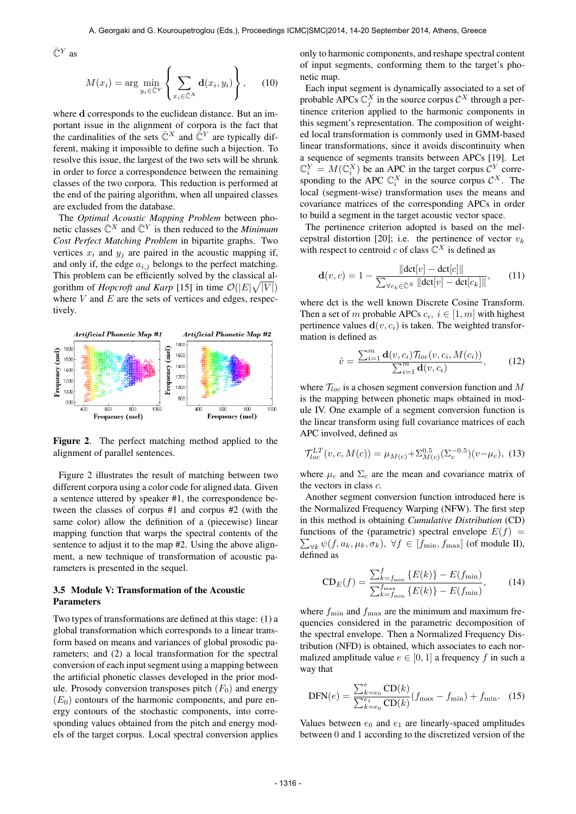$\bar{\mathbb{C}}^Y$  as

$$
M(x_i) = \arg\min_{y_i \in \bar{\mathbb{C}}^Y} \left\{ \sum_{x_i \in \bar{\mathbb{C}}^X} \mathbf{d}(x_i, y_i) \right\}, \quad (10)
$$

where **d** corresponds to the euclidean distance. But an important issue in the alignment of corpora is the fact that the cardinalities of the sets  $\bar{\mathbb{C}}^{X}$  and  $\bar{\mathbb{C}}^{Y}$  are typically different, making it impossible to define such a bijection. To resolve this issue, the largest of the two sets will be shrunk in order to force a correspondence between the remaining classes of the two corpora. This reduction is performed at the end of the pairing algorithm, when all unpaired classes are excluded from the database.

The *Optimal Acoustic Mapping Problem* between phonetic classes  $\bar{\mathbb{C}}^X$  and  $\bar{\mathbb{C}}^Y$  is then reduced to the *Minimum Cost Perfect Matching Problem* in bipartite graphs. Two vertices  $x_i$  and  $y_j$  are paired in the acoustic mapping if, and only if, the edge  $a_{i,j}$  belongs to the perfect matching. This problem can be efficiently solved by the classical algorithm of *Hopcroft and Karp* [15] in time  $\mathcal{O}(|E|\sqrt{|V|})$ where  $V$  and  $E$  are the sets of vertices and edges, respectively.



Figure 2. The perfect matching method applied to the alignment of parallel sentences.

Figure 2 illustrates the result of matching between two different corpora using a color code for aligned data. Given a sentence uttered by speaker #1, the correspondence between the classes of corpus #1 and corpus #2 (with the same color) allow the definition of a (piecewise) linear mapping function that warps the spectral contents of the sentence to adjust it to the map #2. Using the above alignment, a new technique of transformation of acoustic parameters is presented in the sequel.

# 3.5 Module V: Transformation of the Acoustic Parameters

Two types of transformations are defined at this stage: (1) a global transformation which corresponds to a linear transform based on means and variances of global prosodic parameters; and (2) a local transformation for the spectral conversion of each input segment using a mapping between the artificial phonetic classes developed in the prior module. Prosody conversion transposes pitch  $(F_0)$  and energy  $(E_0)$  contours of the harmonic components, and pure energy contours of the stochastic components, into corresponding values obtained from the pitch and energy models of the target corpus. Local spectral conversion applies only to harmonic components, and reshape spectral content of input segments, conforming them to the target's phonetic map.

Each input segment is dynamically associated to a set of probable APCs  $\mathbb{C}_j^X$  in the source corpus  $\mathcal{C}^X$  through a pertinence criterion applied to the harmonic components in this segment's representation. The composition of weighted local transformation is commonly used in GMM-based linear transformations, since it avoids discontinuity when a sequence of segments transits between APCs [19]. Let  $\mathbb{C}_i^Y = M(\mathbb{C}_i^X)$  be an APC in the target corpus  $\mathcal{C}^Y$  corresponding to the APC  $\mathbb{C}_i^X$  in the source corpus  $\mathcal{C}^X$ . The local (segment-wise) transformation uses the means and covariance matrices of the corresponding APCs in order to build a segment in the target acoustic vector space.

The pertinence criterion adopted is based on the melcepstral distortion [20]; i.e. the pertinence of vector  $v_k$ with respect to centroid c of class  $\mathbb{C}^X$  is defined as

$$
\mathbf{d}(v, c) = 1 - \frac{\|\text{dct}[v] - \text{dct}[c]\|}{\sum_{\forall c_k \in \bar{\mathbb{C}}^X} \|\text{dct}[v] - \text{dct}[c_k]\|},\qquad(11)
$$

where dct is the well known Discrete Cosine Transform. Then a set of m probable APCs  $c_i$ ,  $i \in [1, m]$  with highest pertinence values  $\mathbf{d}(v, c_i)$  is taken. The weighted transformation is defined as

$$
\hat{v} = \frac{\sum_{i=1}^{m} \mathbf{d}(v, c_i) \mathcal{T}_{loc}(v, c_i, M(c_i))}{\sum_{i=1}^{m} \mathbf{d}(v, c_i)},
$$
(12)

where  $\mathcal{T}_{loc}$  is a chosen segment conversion function and M is the mapping between phonetic maps obtained in module IV. One example of a segment conversion function is the linear transform using full covariance matrices of each APC involved, defined as

$$
\mathcal{T}^{LT}_{loc}(v, c, M(c)) = \mu_{M(c)} + \Sigma^{0.5}_{M(c)} (\Sigma_c^{-0.5}) (v - \mu_c), \tag{13}
$$

where  $\mu_c$  and  $\Sigma_c$  are the mean and covariance matrix of the vectors in class c.

Another segment conversion function introduced here is the Normalized Frequency Warping (NFW). The first step in this method is obtaining *Cumulative Distribution* (CD)  $\sum_{\forall k} \psi(f, a_k, \mu_k, \sigma_k), \ \forall f \in [f_{\min}, f_{\max}]$  (of module II), functions of the (parametric) spectral envelope  $E(f)$  = defined as

$$
CD_E(f) = \frac{\sum_{k=f_{\min}}^{f} \{E(k)\} - E(f_{\min})}{\sum_{k=f_{\min}}^{f_{\max}} \{E(k)\} - E(f_{\min})},
$$
(14)

where  $f_{\text{min}}$  and  $f_{\text{max}}$  are the minimum and maximum frequencies considered in the parametric decomposition of the spectral envelope. Then a Normalized Frequency Distribution (NFD) is obtained, which associates to each normalized amplitude value  $e \in [0, 1]$  a frequency f in such a way that

$$
DFN(e) = \frac{\sum_{k=e_0}^{e} CD(k)}{\sum_{k=e_0}^{e_1} CD(k)} (f_{\text{max}} - f_{\text{min}}) + f_{\text{min}}.
$$
 (15)

Values between  $e_0$  and  $e_1$  are linearly-spaced amplitudes between 0 and 1 according to the discretized version of the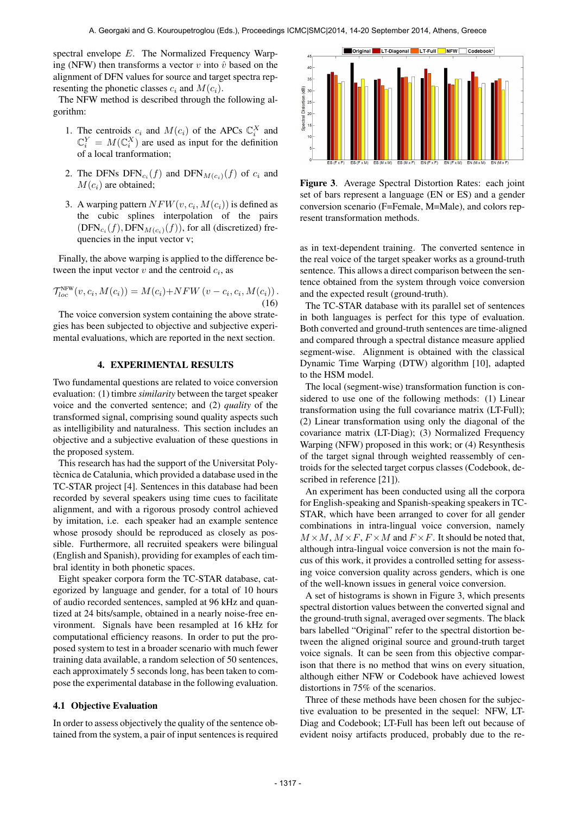spectral envelope E. The Normalized Frequency Warping (NFW) then transforms a vector v into  $\hat{v}$  based on the alignment of DFN values for source and target spectra representing the phonetic classes  $c_i$  and  $M(c_i)$ .

The NFW method is described through the following algorithm:

- 1. The centroids  $c_i$  and  $M(c_i)$  of the APCs  $\mathbb{C}_i^X$  and  $\mathbb{C}_i^Y = M(\mathbb{C}_i^X)$  are used as input for the definition of a local tranformation;
- 2. The DFNs  $DFN_{c_i}(f)$  and  $DFN_{M(c_i)}(f)$  of  $c_i$  and  $M(c_i)$  are obtained;
- 3. A warping pattern  $NFW(v, c_i, M(c_i))$  is defined as the cubic splines interpolation of the pairs  $(DFN_{c_i}(f), DFN_{M(c_i)}(f))$ , for all (discretized) frequencies in the input vector v;

Finally, the above warping is applied to the difference between the input vector  $v$  and the centroid  $c_i$ , as

$$
\mathcal{T}_{loc}^{\text{NFW}}(v, c_i, M(c_i)) = M(c_i) + NFW(v - c_i, c_i, M(c_i)).
$$
\n(16)

The voice conversion system containing the above strategies has been subjected to objective and subjective experimental evaluations, which are reported in the next section.

### 4. EXPERIMENTAL RESULTS

Two fundamental questions are related to voice conversion evaluation: (1) timbre *similarity* between the target speaker voice and the converted sentence; and (2) *quality* of the transformed signal, comprising sound quality aspects such as intelligibility and naturalness. This section includes an objective and a subjective evaluation of these questions in the proposed system.

This research has had the support of the Universitat Polytècnica de Catalunia, which provided a database used in the TC-STAR project [4]. Sentences in this database had been recorded by several speakers using time cues to facilitate alignment, and with a rigorous prosody control achieved by imitation, i.e. each speaker had an example sentence whose prosody should be reproduced as closely as possible. Furthermore, all recruited speakers were bilingual (English and Spanish), providing for examples of each timbral identity in both phonetic spaces.

Eight speaker corpora form the TC-STAR database, categorized by language and gender, for a total of 10 hours of audio recorded sentences, sampled at 96 kHz and quantized at 24 bits/sample, obtained in a nearly noise-free environment. Signals have been resampled at 16 kHz for computational efficiency reasons. In order to put the proposed system to test in a broader scenario with much fewer training data available, a random selection of 50 sentences, each approximately 5 seconds long, has been taken to compose the experimental database in the following evaluation.

#### 4.1 Objective Evaluation

In order to assess objectively the quality of the sentence obtained from the system, a pair of input sentences is required



Figure 3. Average Spectral Distortion Rates: each joint set of bars represent a language (EN or ES) and a gender conversion scenario (F=Female, M=Male), and colors represent transformation methods.

as in text-dependent training. The converted sentence in the real voice of the target speaker works as a ground-truth sentence. This allows a direct comparison between the sentence obtained from the system through voice conversion and the expected result (ground-truth).

The TC-STAR database with its parallel set of sentences in both languages is perfect for this type of evaluation. Both converted and ground-truth sentences are time-aligned and compared through a spectral distance measure applied segment-wise. Alignment is obtained with the classical Dynamic Time Warping (DTW) algorithm [10], adapted to the HSM model.

The local (segment-wise) transformation function is considered to use one of the following methods: (1) Linear transformation using the full covariance matrix (LT-Full); (2) Linear transformation using only the diagonal of the covariance matrix (LT-Diag); (3) Normalized Frequency Warping (NFW) proposed in this work; or (4) Resynthesis of the target signal through weighted reassembly of centroids for the selected target corpus classes (Codebook, described in reference [21]).

An experiment has been conducted using all the corpora for English-speaking and Spanish-speaking speakers in TC-STAR, which have been arranged to cover for all gender combinations in intra-lingual voice conversion, namely  $M \times M$ ,  $M \times F$ ,  $F \times M$  and  $F \times F$ . It should be noted that, although intra-lingual voice conversion is not the main focus of this work, it provides a controlled setting for assessing voice conversion quality across genders, which is one of the well-known issues in general voice conversion.

A set of histograms is shown in Figure 3, which presents spectral distortion values between the converted signal and the ground-truth signal, averaged over segments. The black bars labelled "Original" refer to the spectral distortion between the aligned original source and ground-truth target voice signals. It can be seen from this objective comparison that there is no method that wins on every situation, although either NFW or Codebook have achieved lowest distortions in 75% of the scenarios.

Three of these methods have been chosen for the subjective evaluation to be presented in the sequel: NFW, LT-Diag and Codebook; LT-Full has been left out because of evident noisy artifacts produced, probably due to the re-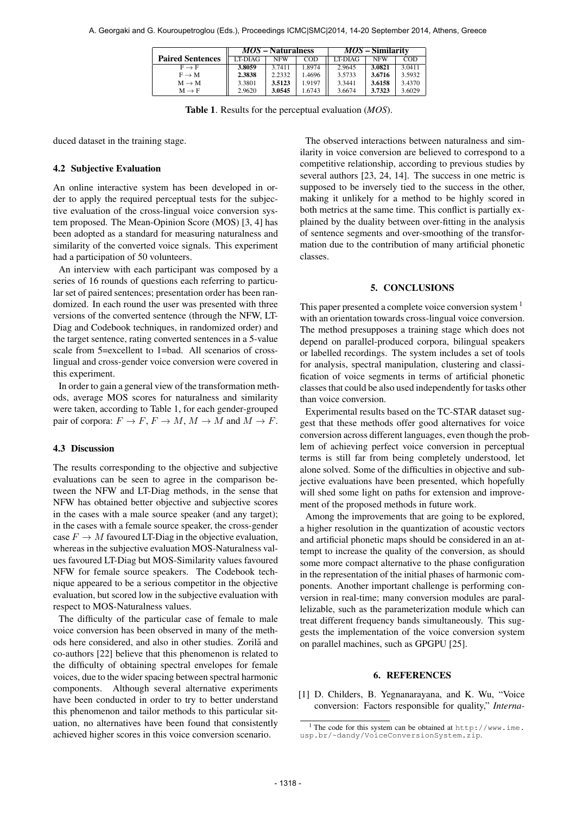|                         | <i>MOS</i> – Naturalness |            |        | <i>MOS</i> – Similarity |            |        |
|-------------------------|--------------------------|------------|--------|-------------------------|------------|--------|
| <b>Paired Sentences</b> | LT-DIAG                  | <b>NFW</b> | COD    | LT-DIAG                 | <b>NFW</b> | COD    |
| $F \rightarrow F$       | 3.8059                   | 3.7411     | 1.8974 | 2.9645                  | 3.0821     | 3.0411 |
| $F \to M$               | 2.3838                   | 2.2332     | 1.4696 | 3.5733                  | 3.6716     | 3.5932 |
| $M \rightarrow M$       | 3.3801                   | 3.5123     | 1.9197 | 3.3441                  | 3.6158     | 3.4370 |
| $M \rightarrow F$       | 2.9620                   | 3.0545     | 1.6743 | 3.6674                  | 3.7323     | 3.6029 |

Table 1. Results for the perceptual evaluation (*MOS*).

duced dataset in the training stage.

#### 4.2 Subjective Evaluation

An online interactive system has been developed in order to apply the required perceptual tests for the subjective evaluation of the cross-lingual voice conversion system proposed. The Mean-Opinion Score (MOS) [3, 4] has been adopted as a standard for measuring naturalness and similarity of the converted voice signals. This experiment had a participation of 50 volunteers.

An interview with each participant was composed by a series of 16 rounds of questions each referring to particular set of paired sentences; presentation order has been randomized. In each round the user was presented with three versions of the converted sentence (through the NFW, LT-Diag and Codebook techniques, in randomized order) and the target sentence, rating converted sentences in a 5-value scale from 5=excellent to 1=bad. All scenarios of crosslingual and cross-gender voice conversion were covered in this experiment.

In order to gain a general view of the transformation methods, average MOS scores for naturalness and similarity were taken, according to Table 1, for each gender-grouped pair of corpora:  $F \to F$ ,  $F \to M$ ,  $M \to M$  and  $M \to F$ .

#### 4.3 Discussion

The results corresponding to the objective and subjective evaluations can be seen to agree in the comparison between the NFW and LT-Diag methods, in the sense that NFW has obtained better objective and subjective scores in the cases with a male source speaker (and any target); in the cases with a female source speaker, the cross-gender case  $F \to M$  favoured LT-Diag in the objective evaluation, whereas in the subjective evaluation MOS-Naturalness values favoured LT-Diag but MOS-Similarity values favoured NFW for female source speakers. The Codebook technique appeared to be a serious competitor in the objective evaluation, but scored low in the subjective evaluation with respect to MOS-Naturalness values.

The difficulty of the particular case of female to male voice conversion has been observed in many of the methods here considered, and also in other studies. Zorilă and co-authors [22] believe that this phenomenon is related to the difficulty of obtaining spectral envelopes for female voices, due to the wider spacing between spectral harmonic components. Although several alternative experiments have been conducted in order to try to better understand this phenomenon and tailor methods to this particular situation, no alternatives have been found that consistently achieved higher scores in this voice conversion scenario.

The observed interactions between naturalness and similarity in voice conversion are believed to correspond to a competitive relationship, according to previous studies by several authors [23, 24, 14]. The success in one metric is supposed to be inversely tied to the success in the other, making it unlikely for a method to be highly scored in both metrics at the same time. This conflict is partially explained by the duality between over-fitting in the analysis of sentence segments and over-smoothing of the transformation due to the contribution of many artificial phonetic classes.

#### 5. CONCLUSIONS

This paper presented a complete voice conversion system <sup>1</sup> with an orientation towards cross-lingual voice conversion. The method presupposes a training stage which does not depend on parallel-produced corpora, bilingual speakers or labelled recordings. The system includes a set of tools for analysis, spectral manipulation, clustering and classification of voice segments in terms of artificial phonetic classes that could be also used independently for tasks other than voice conversion.

Experimental results based on the TC-STAR dataset suggest that these methods offer good alternatives for voice conversion across different languages, even though the problem of achieving perfect voice conversion in perceptual terms is still far from being completely understood, let alone solved. Some of the difficulties in objective and subjective evaluations have been presented, which hopefully will shed some light on paths for extension and improvement of the proposed methods in future work.

Among the improvements that are going to be explored, a higher resolution in the quantization of acoustic vectors and artificial phonetic maps should be considered in an attempt to increase the quality of the conversion, as should some more compact alternative to the phase configuration in the representation of the initial phases of harmonic components. Another important challenge is performing conversion in real-time; many conversion modules are parallelizable, such as the parameterization module which can treat different frequency bands simultaneously. This suggests the implementation of the voice conversion system on parallel machines, such as GPGPU [25].

#### 6. REFERENCES

[1] D. Childers, B. Yegnanarayana, and K. Wu, "Voice conversion: Factors responsible for quality," *Interna-*

<sup>&</sup>lt;sup>1</sup> The code for this system can be obtained at  $http://www.ime.$ [usp.br/~dandy/VoiceConversionSystem.zip](http://www.ime.usp.br/~dandy/VoiceConversionSystem.zip).